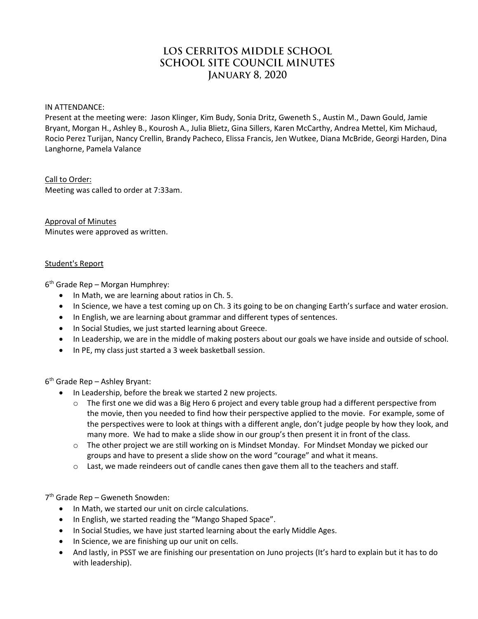# LOS CERRITOS MIDDLE SCHOOL **SCHOOL SITE COUNCIL MINUTES JANUARY 8, 2020**

IN ATTENDANCE:

Present at the meeting were: Jason Klinger, Kim Budy, Sonia Dritz, Gweneth S., Austin M., Dawn Gould, Jamie Bryant, Morgan H., Ashley B., Kourosh A., Julia Blietz, Gina Sillers, Karen McCarthy, Andrea Mettel, Kim Michaud, Rocio Perez Turijan, Nancy Crellin, Brandy Pacheco, Elissa Francis, Jen Wutkee, Diana McBride, Georgi Harden, Dina Langhorne, Pamela Valance

Call to Order:

Meeting was called to order at 7:33am.

Approval of Minutes Minutes were approved as written.

#### Student's Report

6 th Grade Rep – Morgan Humphrey:

- In Math, we are learning about ratios in Ch. 5.
- In Science, we have a test coming up on Ch. 3 its going to be on changing Earth's surface and water erosion.
- In English, we are learning about grammar and different types of sentences.
- In Social Studies, we just started learning about Greece.
- In Leadership, we are in the middle of making posters about our goals we have inside and outside of school.
- In PE, my class just started a 3 week basketball session.

6 th Grade Rep – Ashley Bryant:

- In Leadership, before the break we started 2 new projects.
	- $\circ$  The first one we did was a Big Hero 6 project and every table group had a different perspective from the movie, then you needed to find how their perspective applied to the movie. For example, some of the perspectives were to look at things with a different angle, don't judge people by how they look, and many more. We had to make a slide show in our group's then present it in front of the class.
	- $\circ$  The other project we are still working on is Mindset Monday. For Mindset Monday we picked our groups and have to present a slide show on the word "courage" and what it means.
	- $\circ$  Last, we made reindeers out of candle canes then gave them all to the teachers and staff.

7 th Grade Rep – Gweneth Snowden:

- In Math, we started our unit on circle calculations.
- In English, we started reading the "Mango Shaped Space".
- In Social Studies, we have just started learning about the early Middle Ages.
- In Science, we are finishing up our unit on cells.
- And lastly, in PSST we are finishing our presentation on Juno projects (It's hard to explain but it has to do with leadership).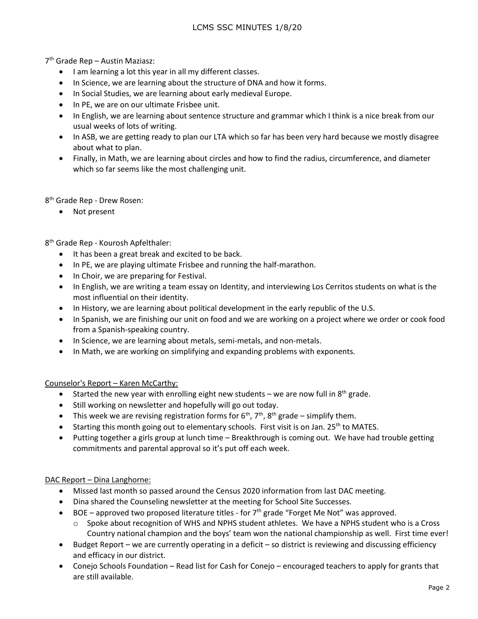7 th Grade Rep – Austin Maziasz:

- I am learning a lot this year in all my different classes.
- In Science, we are learning about the structure of DNA and how it forms.
- In Social Studies, we are learning about early medieval Europe.
- In PE, we are on our ultimate Frisbee unit.
- In English, we are learning about sentence structure and grammar which I think is a nice break from our usual weeks of lots of writing.
- In ASB, we are getting ready to plan our LTA which so far has been very hard because we mostly disagree about what to plan.
- Finally, in Math, we are learning about circles and how to find the radius, circumference, and diameter which so far seems like the most challenging unit.

8<sup>th</sup> Grade Rep - Drew Rosen:

• Not present

8<sup>th</sup> Grade Rep - Kourosh Apfelthaler:

- It has been a great break and excited to be back.
- In PE, we are playing ultimate Frisbee and running the half-marathon.
- In Choir, we are preparing for Festival.
- In English, we are writing a team essay on Identity, and interviewing Los Cerritos students on what is the most influential on their identity.
- In History, we are learning about political development in the early republic of the U.S.
- In Spanish, we are finishing our unit on food and we are working on a project where we order or cook food from a Spanish-speaking country.
- In Science, we are learning about metals, semi-metals, and non-metals.
- In Math, we are working on simplifying and expanding problems with exponents.

#### Counselor's Report – Karen McCarthy:

- Started the new year with enrolling eight new students we are now full in  $8<sup>th</sup>$  grade.
- Still working on newsletter and hopefully will go out today.
- This week we are revising registration forms for  $6<sup>th</sup>$ ,  $7<sup>th</sup>$ ,  $8<sup>th</sup>$  grade simplify them.
- **Starting this month going out to elementary schools. First visit is on Jan. 25<sup>th</sup> to MATES.**
- Putting together a girls group at lunch time Breakthrough is coming out. We have had trouble getting commitments and parental approval so it's put off each week.

## DAC Report – Dina Langhorne:

- Missed last month so passed around the Census 2020 information from last DAC meeting.
- Dina shared the Counseling newsletter at the meeting for School Site Successes.
- $\bullet$  BOE approved two proposed literature titles for  $7<sup>th</sup>$  grade "Forget Me Not" was approved.
	- $\circ$  Spoke about recognition of WHS and NPHS student athletes. We have a NPHS student who is a Cross Country national champion and the boys' team won the national championship as well. First time ever!
- Budget Report we are currently operating in a deficit so district is reviewing and discussing efficiency and efficacy in our district.
- Conejo Schools Foundation Read list for Cash for Conejo encouraged teachers to apply for grants that are still available.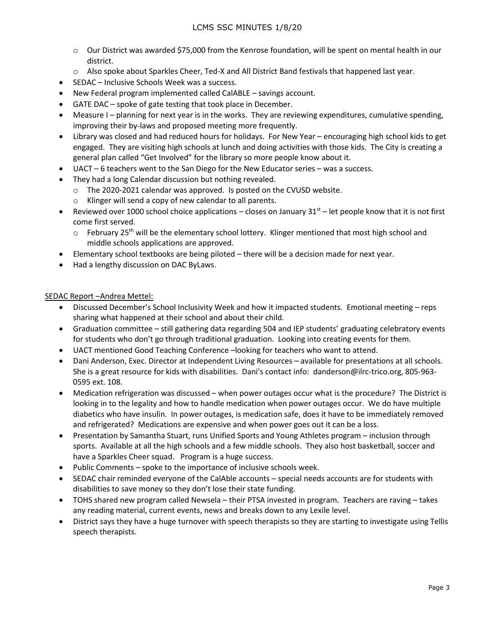- o Our District was awarded \$75,000 from the Kenrose foundation, will be spent on mental health in our district.
- o Also spoke about Sparkles Cheer, Ted-X and All District Band festivals that happened last year.
- SEDAC Inclusive Schools Week was a success.
- New Federal program implemented called CalABLE savings account.
- GATE DAC spoke of gate testing that took place in December.
- Measure I planning for next year is in the works. They are reviewing expenditures, cumulative spending, improving their by-laws and proposed meeting more frequently.
- Library was closed and had reduced hours for holidays. For New Year encouraging high school kids to get engaged. They are visiting high schools at lunch and doing activities with those kids. The City is creating a general plan called "Get Involved" for the library so more people know about it.
- UACT 6 teachers went to the San Diego for the New Educator series was a success.
- They had a long Calendar discussion but nothing revealed.
	- o The 2020-2021 calendar was approved. Is posted on the CVUSD website.
	- o Klinger will send a copy of new calendar to all parents.
- **•** Reviewed over 1000 school choice applications closes on January  $31<sup>st</sup>$  let people know that it is not first come first served.
	- $\circ$  February 25<sup>th</sup> will be the elementary school lottery. Klinger mentioned that most high school and middle schools applications are approved.
- Elementary school textbooks are being piloted there will be a decision made for next year.
- Had a lengthy discussion on DAC ByLaws.

#### SEDAC Report –Andrea Mettel:

- Discussed December's School Inclusivity Week and how it impacted students. Emotional meeting reps sharing what happened at their school and about their child.
- Graduation committee still gathering data regarding 504 and IEP students' graduating celebratory events for students who don't go through traditional graduation. Looking into creating events for them.
- UACT mentioned Good Teaching Conference –looking for teachers who want to attend.
- Dani Anderson, Exec. Director at Independent Living Resources available for presentations at all schools. She is a great resource for kids with disabilities. Dani's contact info: danderson@ilrc-trico.org, 805-963- 0595 ext. 108.
- Medication refrigeration was discussed when power outages occur what is the procedure? The District is looking in to the legality and how to handle medication when power outages occur. We do have multiple diabetics who have insulin. In power outages, is medication safe, does it have to be immediately removed and refrigerated? Medications are expensive and when power goes out it can be a loss.
- Presentation by Samantha Stuart, runs Unified Sports and Young Athletes program inclusion through sports. Available at all the high schools and a few middle schools. They also host basketball, soccer and have a Sparkles Cheer squad. Program is a huge success.
- Public Comments spoke to the importance of inclusive schools week.
- SEDAC chair reminded everyone of the CalAble accounts special needs accounts are for students with disabilities to save money so they don't lose their state funding.
- TOHS shared new program called Newsela their PTSA invested in program. Teachers are raving takes any reading material, current events, news and breaks down to any Lexile level.
- District says they have a huge turnover with speech therapists so they are starting to investigate using Tellis speech therapists.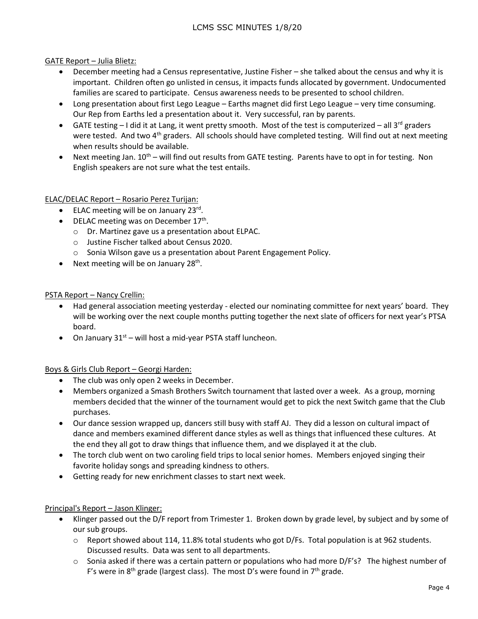### GATE Report – Julia Blietz:

- December meeting had a Census representative, Justine Fisher she talked about the census and why it is important. Children often go unlisted in census, it impacts funds allocated by government. Undocumented families are scared to participate. Census awareness needs to be presented to school children.
- Long presentation about first Lego League Earths magnet did first Lego League very time consuming. Our Rep from Earths led a presentation about it. Very successful, ran by parents.
- GATE testing  $-1$  did it at Lang, it went pretty smooth. Most of the test is computerized all 3<sup>rd</sup> graders were tested. And two 4<sup>th</sup> graders. All schools should have completed testing. Will find out at next meeting when results should be available.
- $\bullet$  Next meeting Jan. 10<sup>th</sup> will find out results from GATE testing. Parents have to opt in for testing. Non English speakers are not sure what the test entails.

#### ELAC/DELAC Report – Rosario Perez Turijan:

- ELAC meeting will be on January 23rd.
- DELAC meeting was on December 17<sup>th</sup>.
	- o Dr. Martinez gave us a presentation about ELPAC.
	- o Justine Fischer talked about Census 2020.
	- o Sonia Wilson gave us a presentation about Parent Engagement Policy.
- Next meeting will be on January  $28<sup>th</sup>$ .

#### PSTA Report – Nancy Crellin:

- Had general association meeting yesterday elected our nominating committee for next years' board. They will be working over the next couple months putting together the next slate of officers for next year's PTSA board.
- On January  $31<sup>st</sup>$  will host a mid-year PSTA staff luncheon.

## Boys & Girls Club Report – Georgi Harden:

- The club was only open 2 weeks in December.
- Members organized a Smash Brothers Switch tournament that lasted over a week. As a group, morning members decided that the winner of the tournament would get to pick the next Switch game that the Club purchases.
- Our dance session wrapped up, dancers still busy with staff AJ. They did a lesson on cultural impact of dance and members examined different dance styles as well as things that influenced these cultures. At the end they all got to draw things that influence them, and we displayed it at the club.
- The torch club went on two caroling field trips to local senior homes. Members enjoyed singing their favorite holiday songs and spreading kindness to others.
- Getting ready for new enrichment classes to start next week.

#### Principal's Report – Jason Klinger:

- Klinger passed out the D/F report from Trimester 1. Broken down by grade level, by subject and by some of our sub groups.
	- $\circ$  Report showed about 114, 11.8% total students who got D/Fs. Total population is at 962 students. Discussed results. Data was sent to all departments.
	- $\circ$  Sonia asked if there was a certain pattern or populations who had more D/F's? The highest number of F's were in  $8<sup>th</sup>$  grade (largest class). The most D's were found in  $7<sup>th</sup>$  grade.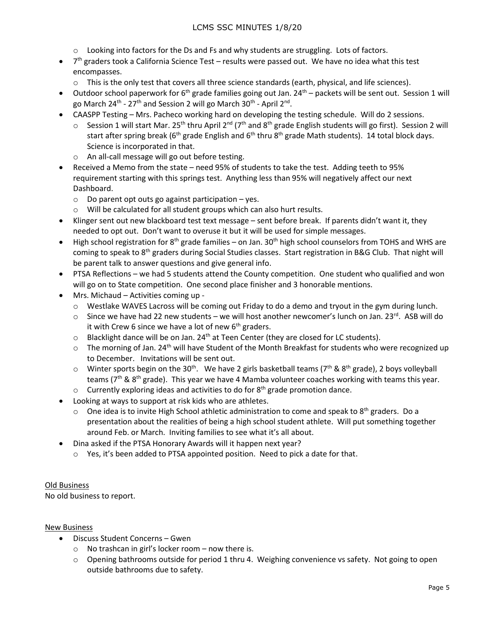- o Looking into factors for the Ds and Fs and why students are struggling. Lots of factors.
- $\bullet$  7<sup>th</sup> graders took a California Science Test results were passed out. We have no idea what this test encompasses.
	- $\circ$  This is the only test that covers all three science standards (earth, physical, and life sciences).
- $\bullet$  Outdoor school paperwork for 6<sup>th</sup> grade families going out Jan. 24<sup>th</sup> packets will be sent out. Session 1 will go March 24<sup>th</sup> - 27<sup>th</sup> and Session 2 will go March 30<sup>th</sup> - April 2<sup>nd</sup>.
- CAASPP Testing Mrs. Pacheco working hard on developing the testing schedule. Will do 2 sessions.
	- $\circ$  Session 1 will start Mar. 25<sup>th</sup> thru April 2<sup>nd</sup> (7<sup>th</sup> and 8<sup>th</sup> grade English students will go first). Session 2 will start after spring break ( $6<sup>th</sup>$  grade English and  $6<sup>th</sup>$  thru  $8<sup>th</sup>$  grade Math students). 14 total block days. Science is incorporated in that.
		- o An all-call message will go out before testing.
- Received a Memo from the state need 95% of students to take the test. Adding teeth to 95% requirement starting with this springs test. Anything less than 95% will negatively affect our next Dashboard.
	- $\circ$  Do parent opt outs go against participation yes.
	- o Will be calculated for all student groups which can also hurt results.
- Klinger sent out new blackboard test text message sent before break. If parents didn't want it, they needed to opt out. Don't want to overuse it but it will be used for simple messages.
- $\bullet$  High school registration for 8<sup>th</sup> grade families on Jan. 30<sup>th</sup> high school counselors from TOHS and WHS are coming to speak to 8th graders during Social Studies classes. Start registration in B&G Club. That night will be parent talk to answer questions and give general info.
- PTSA Reflections we had 5 students attend the County competition. One student who qualified and won will go on to State competition. One second place finisher and 3 honorable mentions.
- Mrs. Michaud Activities coming up
	- $\circ$  Westlake WAVES Lacross will be coming out Friday to do a demo and tryout in the gym during lunch.
	- $\circ$  Since we have had 22 new students we will host another newcomer's lunch on Jan. 23<sup>rd</sup>. ASB will do it with Crew 6 since we have a lot of new  $6<sup>th</sup>$  graders.
	- $\circ$  Blacklight dance will be on Jan. 24<sup>th</sup> at Teen Center (they are closed for LC students).
	- $\circ$  The morning of Jan. 24<sup>th</sup> will have Student of the Month Breakfast for students who were recognized up to December. Invitations will be sent out.
	- $\circ$  Winter sports begin on the 30<sup>th</sup>. We have 2 girls basketball teams (7<sup>th</sup> & 8<sup>th</sup> grade), 2 boys volleyball teams ( $7<sup>th</sup>$  & 8<sup>th</sup> grade). This year we have 4 Mamba volunteer coaches working with teams this year.
	- $\circ$  Currently exploring ideas and activities to do for 8<sup>th</sup> grade promotion dance.
- Looking at ways to support at risk kids who are athletes.
	- $\circ$  One idea is to invite High School athletic administration to come and speak to 8<sup>th</sup> graders. Do a presentation about the realities of being a high school student athlete. Will put something together around Feb. or March. Inviting families to see what it's all about.
- Dina asked if the PTSA Honorary Awards will it happen next year?
	- $\circ$  Yes, it's been added to PTSA appointed position. Need to pick a date for that.

## Old Business

No old business to report.

#### New Business

- Discuss Student Concerns Gwen
	- $\circ$  No trashcan in girl's locker room now there is.
	- $\circ$  Opening bathrooms outside for period 1 thru 4. Weighing convenience vs safety. Not going to open outside bathrooms due to safety.